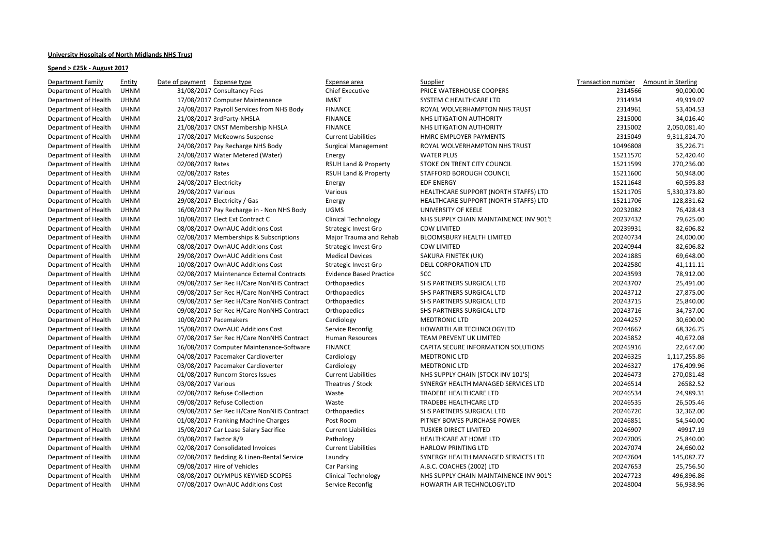## **University Hospitals of North Midlands NHS Trust**

## **Spend > £25k - August 2017**

| Department Family    | <b>Entity</b> | Expense type<br>Date of payment           | Expense area                    | <b>Supplier</b>                         | Transaction number | Amount in Sterling |
|----------------------|---------------|-------------------------------------------|---------------------------------|-----------------------------------------|--------------------|--------------------|
| Department of Health | <b>UHNM</b>   | 31/08/2017 Consultancy Fees               | <b>Chief Executive</b>          | PRICE WATERHOUSE COOPERS                | 2314566            | 90,000.00          |
| Department of Health | <b>UHNM</b>   | 17/08/2017 Computer Maintenance           | IM&T                            | SYSTEM C HEALTHCARE LTD                 | 2314934            | 49,919.07          |
| Department of Health | <b>UHNM</b>   | 24/08/2017 Payroll Services from NHS Body | <b>FINANCE</b>                  | ROYAL WOLVERHAMPTON NHS TRUST           | 2314961            | 53,404.53          |
| Department of Health | <b>UHNM</b>   | 21/08/2017 3rdParty-NHSLA                 | <b>FINANCE</b>                  | NHS LITIGATION AUTHORITY                | 2315000            | 34,016.40          |
| Department of Health | <b>UHNM</b>   | 21/08/2017 CNST Membership NHSLA          | <b>FINANCE</b>                  | NHS LITIGATION AUTHORITY                | 2315002            | 2,050,081.40       |
| Department of Health | <b>UHNM</b>   | 17/08/2017 McKeowns Suspense              | <b>Current Liabilities</b>      | HMRC EMPLOYER PAYMENTS                  | 2315049            | 9,311,824.70       |
| Department of Health | <b>UHNM</b>   | 24/08/2017 Pay Recharge NHS Body          | <b>Surgical Management</b>      | ROYAL WOLVERHAMPTON NHS TRUST           | 10496808           | 35,226.71          |
| Department of Health | <b>UHNM</b>   | 24/08/2017 Water Metered (Water)          | Energy                          | <b>WATER PLUS</b>                       | 15211570           | 52,420.40          |
| Department of Health | <b>UHNM</b>   | 02/08/2017 Rates                          | <b>RSUH Land &amp; Property</b> | STOKE ON TRENT CITY COUNCIL             | 15211599           | 270,236.00         |
| Department of Health | <b>UHNM</b>   | 02/08/2017 Rates                          | <b>RSUH Land &amp; Property</b> | STAFFORD BOROUGH COUNCIL                | 15211600           | 50,948.00          |
| Department of Health | <b>UHNM</b>   | 24/08/2017 Electricity                    | Energy                          | <b>EDF ENERGY</b>                       | 15211648           | 60,595.83          |
| Department of Health | <b>UHNM</b>   | 29/08/2017 Various                        | Various                         | HEALTHCARE SUPPORT (NORTH STAFFS) LTD   | 15211705           | 5,330,373.80       |
| Department of Health | <b>UHNM</b>   | 29/08/2017 Electricity / Gas              | Energy                          | HEALTHCARE SUPPORT (NORTH STAFFS) LTD   | 15211706           | 128,831.62         |
| Department of Health | <b>UHNM</b>   | 16/08/2017 Pay Recharge in - Non NHS Body | <b>UGMS</b>                     | UNIVERSITY OF KEELE                     | 20232082           | 76,428.43          |
| Department of Health | <b>UHNM</b>   | 10/08/2017 Elect Ext Contract C           | <b>Clinical Technology</b>      | NHS SUPPLY CHAIN MAINTAINENCE INV 901'S | 20237432           | 79,625.00          |
| Department of Health | <b>UHNM</b>   | 08/08/2017 OwnAUC Additions Cost          | <b>Strategic Invest Grp</b>     | <b>CDW LIMITED</b>                      | 20239931           | 82,606.82          |
| Department of Health | <b>UHNM</b>   | 02/08/2017 Memberships & Subscriptions    | Major Trauma and Rehab          | <b>BLOOMSBURY HEALTH LIMITED</b>        | 20240734           | 24,000.00          |
| Department of Health | <b>UHNM</b>   | 08/08/2017 OwnAUC Additions Cost          | <b>Strategic Invest Grp</b>     | <b>CDW LIMITED</b>                      | 20240944           | 82,606.82          |
| Department of Health | <b>UHNM</b>   | 29/08/2017 OwnAUC Additions Cost          | <b>Medical Devices</b>          | SAKURA FINETEK (UK)                     | 20241885           | 69,648.00          |
| Department of Health | <b>UHNM</b>   | 10/08/2017 OwnAUC Additions Cost          | <b>Strategic Invest Grp</b>     | DELL CORPORATION LTD                    | 20242580           | 41,111.11          |
| Department of Health | <b>UHNM</b>   | 02/08/2017 Maintenance External Contracts | <b>Evidence Based Practice</b>  | <b>SCC</b>                              | 20243593           | 78,912.00          |
| Department of Health | <b>UHNM</b>   | 09/08/2017 Ser Rec H/Care NonNHS Contract | Orthopaedics                    | SHS PARTNERS SURGICAL LTD               | 20243707           | 25,491.00          |
| Department of Health | <b>UHNM</b>   | 09/08/2017 Ser Rec H/Care NonNHS Contract | Orthopaedics                    | SHS PARTNERS SURGICAL LTD               | 20243712           | 27,875.00          |
| Department of Health | <b>UHNM</b>   | 09/08/2017 Ser Rec H/Care NonNHS Contract | Orthopaedics                    | SHS PARTNERS SURGICAL LTD               | 20243715           | 25,840.00          |
| Department of Health | <b>UHNM</b>   | 09/08/2017 Ser Rec H/Care NonNHS Contract | Orthopaedics                    | SHS PARTNERS SURGICAL LTD               | 20243716           | 34,737.00          |
| Department of Health | <b>UHNM</b>   | 10/08/2017 Pacemakers                     | Cardiology                      | <b>MEDTRONIC LTD</b>                    | 20244257           | 30,600.00          |
| Department of Health | <b>UHNM</b>   | 15/08/2017 OwnAUC Additions Cost          | Service Reconfig                | HOWARTH AIR TECHNOLOGYLTD               | 20244667           | 68,326.75          |
| Department of Health | <b>UHNM</b>   | 07/08/2017 Ser Rec H/Care NonNHS Contract | Human Resources                 | <b>TEAM PREVENT UK LIMITED</b>          | 20245852           | 40,672.08          |
| Department of Health | <b>UHNM</b>   | 16/08/2017 Computer Maintenance-Software  | <b>FINANCE</b>                  | CAPITA SECURE INFORMATION SOLUTIONS     | 20245916           | 22,647.00          |
| Department of Health | <b>UHNM</b>   | 04/08/2017 Pacemaker Cardioverter         | Cardiology                      | <b>MEDTRONIC LTD</b>                    | 20246325           | 1,117,255.86       |
| Department of Health | <b>UHNM</b>   | 03/08/2017 Pacemaker Cardioverter         | Cardiology                      | <b>MEDTRONIC LTD</b>                    | 20246327           | 176,409.96         |
| Department of Health | <b>UHNM</b>   | 01/08/2017 Runcorn Stores Issues          | <b>Current Liabilities</b>      | NHS SUPPLY CHAIN (STOCK INV 101'S)      | 20246473           | 270,081.48         |
| Department of Health | <b>UHNM</b>   | 03/08/2017 Various                        | Theatres / Stock                | SYNERGY HEALTH MANAGED SERVICES LTD     | 20246514           | 26582.52           |
| Department of Health | <b>UHNM</b>   | 02/08/2017 Refuse Collection              | Waste                           | <b>TRADEBE HEALTHCARE LTD</b>           | 20246534           | 24,989.31          |
| Department of Health | <b>UHNM</b>   | 09/08/2017 Refuse Collection              | Waste                           | <b>TRADEBE HEALTHCARE LTD</b>           | 20246535           | 26,505.46          |
| Department of Health | <b>UHNM</b>   | 09/08/2017 Ser Rec H/Care NonNHS Contract | Orthopaedics                    | <b>SHS PARTNERS SURGICAL LTD</b>        | 20246720           | 32,362.00          |
| Department of Health | <b>UHNM</b>   | 01/08/2017 Franking Machine Charges       | Post Room                       | PITNEY BOWES PURCHASE POWER             | 20246851           | 54,540.00          |
| Department of Health | <b>UHNM</b>   | 15/08/2017 Car Lease Salary Sacrifice     | <b>Current Liabilities</b>      | <b>TUSKER DIRECT LIMITED</b>            | 20246907           | 49917.19           |
| Department of Health | <b>UHNM</b>   | 03/08/2017 Factor 8/9                     | Pathology                       | HEALTHCARE AT HOME LTD                  | 20247005           | 25,840.00          |
| Department of Health | <b>UHNM</b>   | 02/08/2017 Consolidated Invoices          | <b>Current Liabilities</b>      | <b>HARLOW PRINTING LTD</b>              | 20247074           | 24,660.02          |
| Department of Health | <b>UHNM</b>   | 02/08/2017 Bedding & Linen-Rental Service | Laundry                         | SYNERGY HEALTH MANAGED SERVICES LTD     | 20247604           | 145,082.77         |
| Department of Health | <b>UHNM</b>   | 09/08/2017 Hire of Vehicles               | Car Parking                     | A.B.C. COACHES (2002) LTD               | 20247653           | 25,756.50          |
| Department of Health | <b>UHNM</b>   | 08/08/2017 OLYMPUS KEYMED SCOPES          | <b>Clinical Technology</b>      | NHS SUPPLY CHAIN MAINTAINENCE INV 901'S | 20247723           | 496,896.86         |
| Department of Health | <b>UHNM</b>   | 07/08/2017 OwnAUC Additions Cost          | Service Reconfig                | HOWARTH AIR TECHNOLOGYLTD               | 20248004           | 56,938.96          |
|                      |               |                                           |                                 |                                         |                    |                    |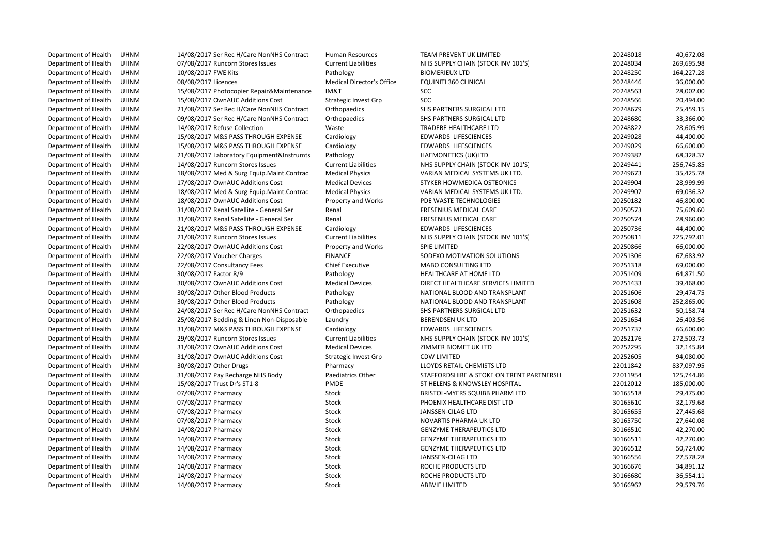Department of Health UHNMDepartment of Health UHNMDepartment of Health UHNMDepartment of Health UHNMDepartment of Health UHNMDepartment of Health UHNMDepartment of Health UHNMDepartment of Health UHNMDepartment of Health UHNMDepartment of Health UHNMDepartment of Health UHNMDepartment of Health UHNMDepartment of Health UHNMDepartment of Health UHNMDepartment of Health UHNMDepartment of Health UHNMDepartment of Health UHNMDepartment of Health UHNMDepartment of Health UHNMDepartment of Health UHNMDepartment of Health UHNMDepartment of Health UHNMDepartment of Health UHNMDepartment of Health UHNMDepartment of Health UHNMDepartment of Health UHNMDepartment of Health UHNMDepartment of Health UHNMDepartment of Health UHNMDepartment of Health UHNMDepartment of Health UHNMDepartment of Health UHNMDepartment of Health UHNMDepartment of Health UHNMDepartment of Health UHNMDepartment of Health UHNMDepartment of Health UHNMDepartment of Health UHNMDepartment of Health UHNMDepartment of Health UHNMDepartment of Health UHNMDepartment of Health UHNMDepartment of Health UHNMDepartment of Health UHNMDepartment of Health UHNMDepartment of Health UHNMDepartment of Health UHNMDepartment of HealthUHNM

| Μ | 14/08/2017 Ser Rec H/Care NonNHS Contract | <b>Human Resources</b>           | TEAM PREVENT UK LIMITED                  | 20248018 | 40,672.08  |
|---|-------------------------------------------|----------------------------------|------------------------------------------|----------|------------|
| Μ | 07/08/2017 Runcorn Stores Issues          | <b>Current Liabilities</b>       | NHS SUPPLY CHAIN (STOCK INV 101'S)       | 20248034 | 269,695.98 |
| M | 10/08/2017 FWE Kits                       | Pathology                        | <b>BIOMERIEUX LTD</b>                    | 20248250 | 164,227.28 |
| М | 08/08/2017 Licences                       | <b>Medical Director's Office</b> | <b>EQUINITI 360 CLINICAL</b>             | 20248446 | 36,000.00  |
| М | 15/08/2017 Photocopier Repair&Maintenance | IM&T                             | SCC                                      | 20248563 | 28,002.00  |
| M | 15/08/2017 OwnAUC Additions Cost          | <b>Strategic Invest Grp</b>      | SCC                                      | 20248566 | 20,494.00  |
| M | 21/08/2017 Ser Rec H/Care NonNHS Contract | Orthopaedics                     | SHS PARTNERS SURGICAL LTD                | 20248679 | 25,459.15  |
| M | 09/08/2017 Ser Rec H/Care NonNHS Contract | Orthopaedics                     | SHS PARTNERS SURGICAL LTD                | 20248680 | 33,366.00  |
| М | 14/08/2017 Refuse Collection              | Waste                            | <b>TRADEBE HEALTHCARE LTD</b>            | 20248822 | 28,605.99  |
| М | 15/08/2017 M&S PASS THROUGH EXPENSE       | Cardiology                       | <b>EDWARDS LIFESCIENCES</b>              | 20249028 | 44,400.00  |
| Μ | 15/08/2017 M&S PASS THROUGH EXPENSE       | Cardiology                       | <b>EDWARDS LIFESCIENCES</b>              | 20249029 | 66,600.00  |
| Μ | 21/08/2017 Laboratory Equipment&Instrumts | Pathology                        | <b>HAEMONETICS (UK)LTD</b>               | 20249382 | 68,328.37  |
| М | 14/08/2017 Runcorn Stores Issues          | <b>Current Liabilities</b>       | NHS SUPPLY CHAIN (STOCK INV 101'S)       | 20249441 | 256,745.85 |
| М | 18/08/2017 Med & Surg Equip.Maint.Contrac | <b>Medical Physics</b>           | VARIAN MEDICAL SYSTEMS UK LTD.           | 20249673 | 35,425.78  |
| Μ | 17/08/2017 OwnAUC Additions Cost          | <b>Medical Devices</b>           | STYKER HOWMEDICA OSTEONICS               | 20249904 | 28,999.99  |
| М | 18/08/2017 Med & Surg Equip.Maint.Contrac | <b>Medical Physics</b>           | VARIAN MEDICAL SYSTEMS UK LTD.           | 20249907 | 69,036.32  |
| M | 18/08/2017 OwnAUC Additions Cost          | Property and Works               | PDE WASTE TECHNOLOGIES                   | 20250182 | 46,800.00  |
| Μ | 31/08/2017 Renal Satellite - General Ser  | Renal                            | FRESENIUS MEDICAL CARE                   | 20250573 | 75,609.60  |
| M | 31/08/2017 Renal Satellite - General Ser  | Renal                            | FRESENIUS MEDICAL CARE                   | 20250574 | 28,960.00  |
| Μ | 21/08/2017 M&S PASS THROUGH EXPENSE       | Cardiology                       | <b>EDWARDS LIFESCIENCES</b>              | 20250736 | 44,400.00  |
| Μ | 21/08/2017 Runcorn Stores Issues          | <b>Current Liabilities</b>       | NHS SUPPLY CHAIN (STOCK INV 101'S)       | 20250811 | 225,792.01 |
| Μ | 22/08/2017 OwnAUC Additions Cost          | Property and Works               | <b>SPIE LIMITED</b>                      | 20250866 | 66,000.00  |
| M | 22/08/2017 Voucher Charges                | <b>FINANCE</b>                   | SODEXO MOTIVATION SOLUTIONS              | 20251306 | 67,683.92  |
| M | 22/08/2017 Consultancy Fees               | Chief Executive                  | <b>MABO CONSULTING LTD</b>               | 20251318 | 69,000.00  |
| М | 30/08/2017 Factor 8/9                     | Pathology                        | HEALTHCARE AT HOME LTD                   | 20251409 | 64,871.50  |
| M | 30/08/2017 OwnAUC Additions Cost          | <b>Medical Devices</b>           | DIRECT HEALTHCARE SERVICES LIMITED       | 20251433 | 39,468.00  |
| М | 30/08/2017 Other Blood Products           | Pathology                        | NATIONAL BLOOD AND TRANSPLANT            | 20251606 | 29,474.75  |
| M | 30/08/2017 Other Blood Products           | Pathology                        | NATIONAL BLOOD AND TRANSPLANT            | 20251608 | 252,865.00 |
| Μ | 24/08/2017 Ser Rec H/Care NonNHS Contract | Orthopaedics                     | SHS PARTNERS SURGICAL LTD                | 20251632 | 50,158.74  |
| Μ | 25/08/2017 Bedding & Linen Non-Disposable | Laundry                          | <b>BERENDSEN UK LTD</b>                  | 20251654 | 26,403.56  |
| Μ | 31/08/2017 M&S PASS THROUGH EXPENSE       | Cardiology                       | <b>EDWARDS LIFESCIENCES</b>              | 20251737 | 66,600.00  |
| Μ | 29/08/2017 Runcorn Stores Issues          | <b>Current Liabilities</b>       | NHS SUPPLY CHAIN (STOCK INV 101'S)       | 20252176 | 272,503.73 |
| M | 31/08/2017 OwnAUC Additions Cost          | <b>Medical Devices</b>           | ZIMMER BIOMET UK LTD                     | 20252295 | 32,145.84  |
| М | 31/08/2017 OwnAUC Additions Cost          | <b>Strategic Invest Grp</b>      | <b>CDW LIMITED</b>                       | 20252605 | 94,080.00  |
| М | 30/08/2017 Other Drugs                    | Pharmacy                         | LLOYDS RETAIL CHEMISTS LTD               | 22011842 | 837,097.95 |
| M | 31/08/2017 Pay Recharge NHS Body          | Paediatrics Other                | STAFFORDSHIRE & STOKE ON TRENT PARTNERSH | 22011954 | 125,744.86 |
| M | 15/08/2017 Trust Dr's ST1-8               | PMDE                             | ST HELENS & KNOWSLEY HOSPITAL            | 22012012 | 185,000.00 |
| М | 07/08/2017 Pharmacy                       | Stock                            | BRISTOL-MYERS SQUIBB PHARM LTD           | 30165518 | 29,475.00  |
| M | 07/08/2017 Pharmacy                       | Stock                            | PHOENIX HEALTHCARE DIST LTD              | 30165610 | 32,179.68  |
| Μ | 07/08/2017 Pharmacy                       | Stock                            | JANSSEN-CILAG LTD                        | 30165655 | 27,445.68  |
| M | 07/08/2017 Pharmacy                       | Stock                            | NOVARTIS PHARMA UK LTD                   | 30165750 | 27,640.08  |
| Μ | 14/08/2017 Pharmacy                       | Stock                            | <b>GENZYME THERAPEUTICS LTD</b>          | 30166510 | 42,270.00  |
| М | 14/08/2017 Pharmacy                       | Stock                            | <b>GENZYME THERAPEUTICS LTD</b>          | 30166511 | 42,270.00  |
| M | 14/08/2017 Pharmacy                       | Stock                            | <b>GENZYME THERAPEUTICS LTD</b>          | 30166512 | 50,724.00  |
| M | 14/08/2017 Pharmacy                       | Stock                            | JANSSEN-CILAG LTD                        | 30166556 | 27,578.28  |
| M | 14/08/2017 Pharmacy                       | Stock                            | ROCHE PRODUCTS LTD                       | 30166676 | 34,891.12  |
| Μ | 14/08/2017 Pharmacy                       | Stock                            | ROCHE PRODUCTS LTD                       | 30166680 | 36,554.11  |
| M | 14/08/2017 Pharmacy                       | Stock                            | <b>ABBVIE LIMITED</b>                    | 30166962 | 29,579.76  |
|   |                                           |                                  |                                          |          |            |